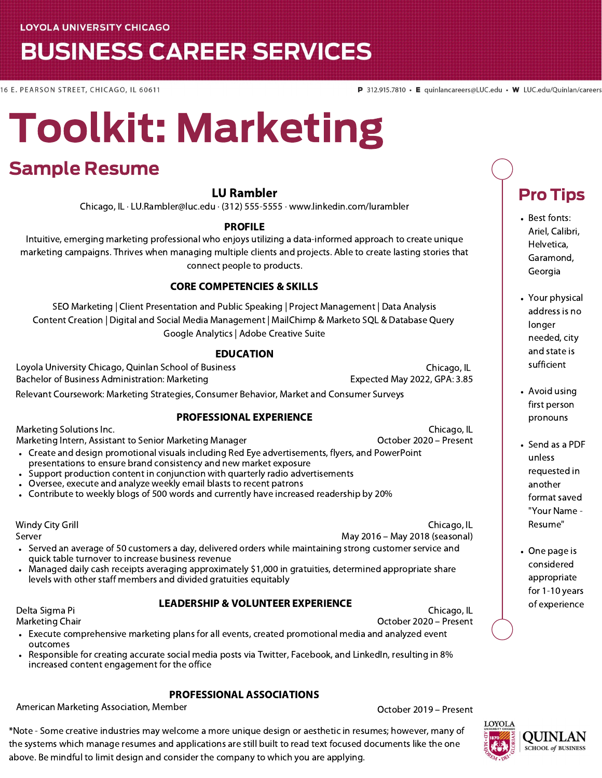**LOYOLA UNIVERSITY CHICAGO** 

## **BUSINESS CAREER SERVICES**

16 E. PEARSON STREET, CHICAGO, IL 60611

Pro Tips

Your physical address is no longer needed, city and state is sufficient

Avoid using first person pronouns

• Send as a PDF unless requested in another format saved "Your Name - Resume"

• One page is considered appropriate for 1-10 years of experience

• Best fonts: Ariel, Calibri, Helvetica, Garamond, Georgia

# Toolkit: Marketing

### Sample Resume

#### LU Rambler

Chicago, IL · LU.Rambler@luc.edu · (312) 555-5555 · www.linkedin.com/lurambler

#### PROFILE

Intuitive, emerging marketing professional who enjoys utilizing a data-informed approach to create unique marketing campaigns. Thrives when managing multiple clients and projects. Able to create lasting stories that connect people to products.

#### CORE COMPETENCIES & SKILLS

SEO Marketing | Client Presentation and Public Speaking | Project Management | Data Analysis Content Creation | Digital and Social Media Management | MailChimp & Marketo SQL & Database Query Google Analytics | Adobe Creative Suite

#### EDUCATION

Loyola University Chicago, Quinlan School of Business Chicago, IL Bachelor of Business Administration: Marketing experience and Expected May 2022, GPA: 3.85 Relevant Coursework: Marketing Strategies, Consumer Behavior, Market and Consumer Surveys

#### PROFESSIONAL EXPERIENCE

Marketing Solutions Inc. Marketing Intern, Assistant to Senior Marketing Manager

increased content engagement for the office

October 2020 – Present

- Create and design promotional visuals including Red Eye advertisements, flyers, and PowerPoint presentations to ensure brand consistency and new market exposure
- Support production content in conjunction with quarterly radio advertisements
- Oversee, execute and analyze weekly email blasts to recent patrons
- Contribute to weekly blogs of 500 words and currently have increased readership by 20%

Windy City Grill

Server

Chicago, IL May 2016 – May 2018 (seasonal)

- Served an average of 50 customers a day, delivered orders while maintaining strong customer service and quick table turnover to increase business revenue
- Managed daily cash receipts averaging approximately \$1,000 in gratuities, determined appropriate share levels with other staff members and divided gratuities equitably

Responsible for creating accurate social media posts via Twitter, Facebook, and LinkedIn, resulting in 8%

PROFESSIONAL ASSOCIATIONS American Marketing Association, Member Channel Controller Controller Corporation of Present

#### LEADERSHIP & VOLUNTEER EXPERIENCE

Delta Sigma Pi Marketing Chair

outcomes

Chicago, IL

October 2020 – Present

- Execute comprehensive marketing plans for all events, created promotional media and analyzed event
- 



\*Note - Some creative industries may welcome a more unique design or aesthetic in resumes; however, many of the systems which manage resumes and applications are still built to read text focused documents like the one above. Be mindful to limit design and consider the company to which you are applying.

Chicago, IL